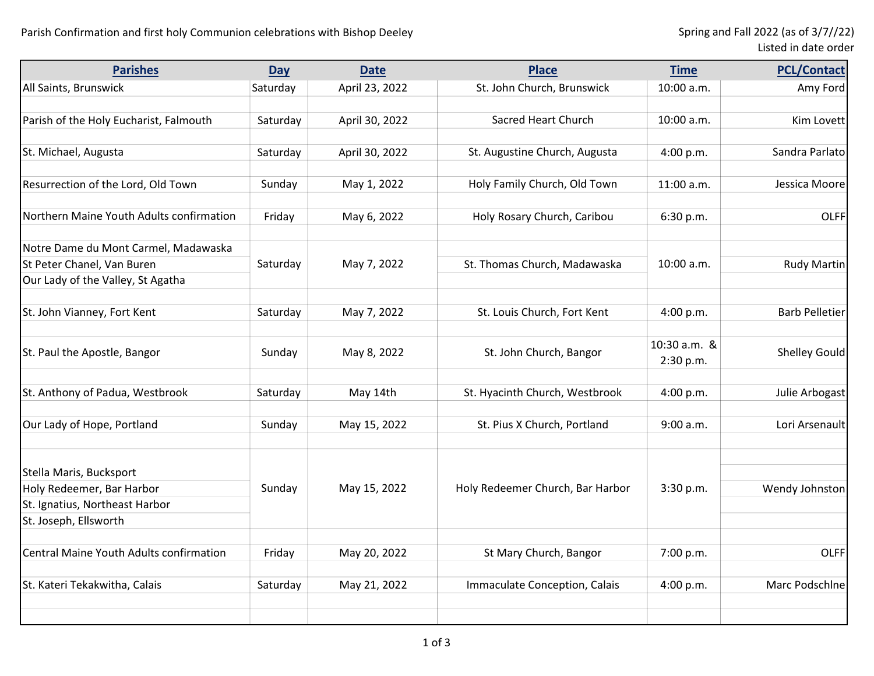| <b>Parishes</b>                          | <b>Day</b> | <b>Date</b>    | <b>Place</b>                     | <b>Time</b>  | <b>PCL/Contact</b>    |
|------------------------------------------|------------|----------------|----------------------------------|--------------|-----------------------|
| All Saints, Brunswick                    | Saturday   | April 23, 2022 | St. John Church, Brunswick       | 10:00 a.m.   | Amy Ford              |
|                                          |            |                |                                  |              |                       |
| Parish of the Holy Eucharist, Falmouth   | Saturday   | April 30, 2022 | Sacred Heart Church              | 10:00 a.m.   | Kim Lovett            |
|                                          |            |                |                                  |              |                       |
| St. Michael, Augusta                     | Saturday   | April 30, 2022 | St. Augustine Church, Augusta    | 4:00 p.m.    | Sandra Parlato        |
|                                          |            |                |                                  |              |                       |
| Resurrection of the Lord, Old Town       | Sunday     | May 1, 2022    | Holy Family Church, Old Town     | 11:00 a.m.   | Jessica Moore         |
|                                          |            |                |                                  |              |                       |
| Northern Maine Youth Adults confirmation | Friday     | May 6, 2022    | Holy Rosary Church, Caribou      | 6:30 p.m.    | <b>OLFF</b>           |
|                                          |            |                |                                  |              |                       |
| Notre Dame du Mont Carmel, Madawaska     |            |                |                                  |              |                       |
| St Peter Chanel, Van Buren               | Saturday   | May 7, 2022    | St. Thomas Church, Madawaska     | 10:00 a.m.   | <b>Rudy Martin</b>    |
| Our Lady of the Valley, St Agatha        |            |                |                                  |              |                       |
| St. John Vianney, Fort Kent              | Saturday   | May 7, 2022    | St. Louis Church, Fort Kent      | 4:00 p.m.    | <b>Barb Pelletier</b> |
|                                          |            |                |                                  |              |                       |
|                                          |            |                |                                  | 10:30 a.m. & |                       |
| St. Paul the Apostle, Bangor             | Sunday     | May 8, 2022    | St. John Church, Bangor          | 2:30 p.m.    | <b>Shelley Gould</b>  |
|                                          |            |                |                                  |              |                       |
| St. Anthony of Padua, Westbrook          | Saturday   | May 14th       | St. Hyacinth Church, Westbrook   | 4:00 p.m.    | Julie Arbogast        |
|                                          |            |                |                                  |              |                       |
| Our Lady of Hope, Portland               | Sunday     | May 15, 2022   | St. Pius X Church, Portland      | 9:00 a.m.    | Lori Arsenault        |
|                                          |            |                |                                  |              |                       |
|                                          |            |                |                                  |              |                       |
| Stella Maris, Bucksport                  |            |                |                                  |              |                       |
| Holy Redeemer, Bar Harbor                | Sunday     | May 15, 2022   | Holy Redeemer Church, Bar Harbor | 3:30 p.m.    | Wendy Johnston        |
| St. Ignatius, Northeast Harbor           |            |                |                                  |              |                       |
| St. Joseph, Ellsworth                    |            |                |                                  |              |                       |
| Central Maine Youth Adults confirmation  | Friday     | May 20, 2022   | St Mary Church, Bangor           | 7:00 p.m.    | <b>OLFF</b>           |
|                                          |            |                |                                  |              |                       |
| St. Kateri Tekakwitha, Calais            | Saturday   | May 21, 2022   | Immaculate Conception, Calais    | 4:00 p.m.    | Marc Podschlne        |
|                                          |            |                |                                  |              |                       |
|                                          |            |                |                                  |              |                       |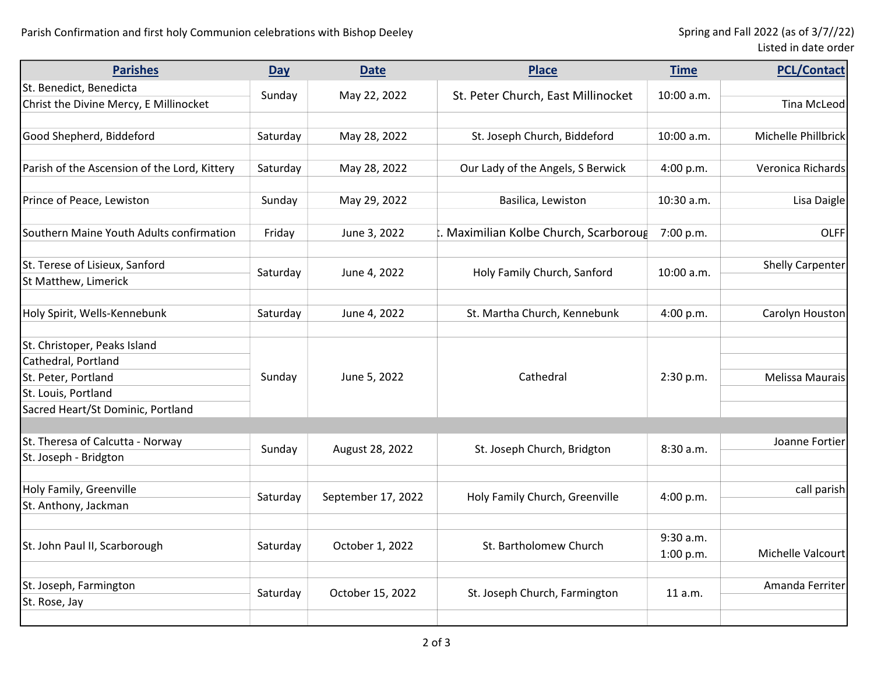| Listed in date order |  |  |
|----------------------|--|--|
|----------------------|--|--|

| <b>Parishes</b>                              | <b>Day</b> | <b>Date</b>        | <b>Place</b>                          | <b>Time</b> | <b>PCL/Contact</b>      |
|----------------------------------------------|------------|--------------------|---------------------------------------|-------------|-------------------------|
| St. Benedict, Benedicta                      |            |                    |                                       |             |                         |
| Christ the Divine Mercy, E Millinocket       | Sunday     | May 22, 2022       | St. Peter Church, East Millinocket    | 10:00 a.m.  | <b>Tina McLeod</b>      |
|                                              |            |                    |                                       |             |                         |
| Good Shepherd, Biddeford                     | Saturday   | May 28, 2022       | St. Joseph Church, Biddeford          | 10:00 a.m.  | Michelle Phillbrick     |
|                                              |            |                    |                                       |             |                         |
| Parish of the Ascension of the Lord, Kittery | Saturday   | May 28, 2022       | Our Lady of the Angels, S Berwick     | 4:00 p.m.   | Veronica Richards       |
|                                              |            |                    |                                       |             |                         |
| Prince of Peace, Lewiston                    | Sunday     | May 29, 2022       | Basilica, Lewiston                    | 10:30 a.m.  | Lisa Daigle             |
|                                              |            |                    |                                       |             |                         |
| Southern Maine Youth Adults confirmation     | Friday     | June 3, 2022       | . Maximilian Kolbe Church, Scarboroug | 7:00 p.m.   | <b>OLFF</b>             |
|                                              |            |                    |                                       |             |                         |
| St. Terese of Lisieux, Sanford               | Saturday   | June 4, 2022       | Holy Family Church, Sanford           | 10:00 a.m.  | <b>Shelly Carpenter</b> |
| St Matthew, Limerick                         |            |                    |                                       |             |                         |
|                                              |            |                    |                                       |             |                         |
| Holy Spirit, Wells-Kennebunk                 | Saturday   | June 4, 2022       | St. Martha Church, Kennebunk          | 4:00 p.m.   | Carolyn Houston         |
|                                              |            |                    |                                       |             |                         |
| St. Christoper, Peaks Island                 |            |                    |                                       |             |                         |
| Cathedral, Portland                          |            | June 5, 2022       | Cathedral                             | 2:30 p.m.   |                         |
| St. Peter, Portland                          | Sunday     |                    |                                       |             | Melissa Maurais         |
| St. Louis, Portland                          |            |                    |                                       |             |                         |
| Sacred Heart/St Dominic, Portland            |            |                    |                                       |             |                         |
|                                              |            |                    |                                       |             |                         |
| St. Theresa of Calcutta - Norway             | Sunday     | August 28, 2022    | St. Joseph Church, Bridgton           | 8:30 a.m.   | Joanne Fortier          |
| St. Joseph - Bridgton                        |            |                    |                                       |             |                         |
|                                              |            |                    |                                       |             |                         |
| Holy Family, Greenville                      |            | September 17, 2022 | Holy Family Church, Greenville        | 4:00 p.m.   | call parish             |
| St. Anthony, Jackman                         | Saturday   |                    |                                       |             |                         |
|                                              |            |                    |                                       |             |                         |
| St. John Paul II, Scarborough                | Saturday   | October 1, 2022    | St. Bartholomew Church                | 9:30 a.m.   |                         |
|                                              |            |                    |                                       | 1:00 p.m.   | Michelle Valcourt       |
|                                              |            |                    |                                       |             |                         |
| St. Joseph, Farmington                       | Saturday   | October 15, 2022   | St. Joseph Church, Farmington         | 11 a.m.     | Amanda Ferriter         |
| St. Rose, Jay                                |            |                    |                                       |             |                         |
|                                              |            |                    |                                       |             |                         |